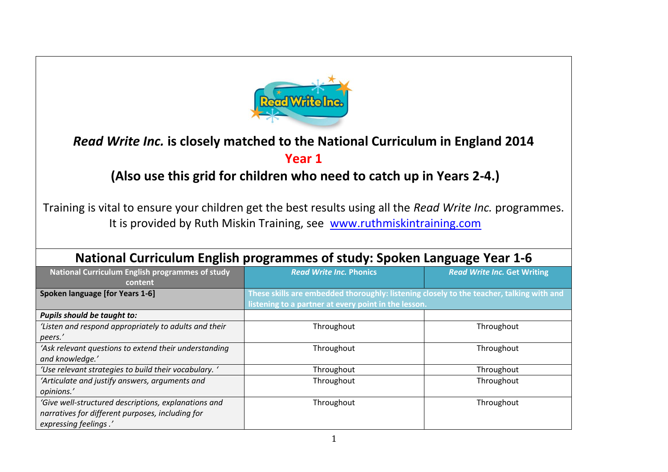

## *Read Write Inc.* **is closely matched to the National Curriculum in England 2014**

## **Year 1**

## **(Also use this grid for children who need to catch up in Years 2-4.)**

Training is vital to ensure your children get the best results using all the *Read Write Inc.* programmes. It is provided by Ruth Miskin Training, see [www.ruthmiskintraining.com](http://www.ruthmiskintraining.com/)

| <b>National Curriculum English programmes of study: Spoken Language Year 1-6</b> |                                                                                          |                                    |  |  |
|----------------------------------------------------------------------------------|------------------------------------------------------------------------------------------|------------------------------------|--|--|
| <b>National Curriculum English programmes of study</b>                           | <b>Read Write Inc. Phonics</b>                                                           | <b>Read Write Inc. Get Writing</b> |  |  |
| content                                                                          |                                                                                          |                                    |  |  |
| Spoken language [for Years 1-6]                                                  | These skills are embedded thoroughly: listening closely to the teacher, talking with and |                                    |  |  |
|                                                                                  | listening to a partner at every point in the lesson.                                     |                                    |  |  |
| <b>Pupils should be taught to:</b>                                               |                                                                                          |                                    |  |  |
| 'Listen and respond appropriately to adults and their                            | Throughout                                                                               | Throughout                         |  |  |
| peers.'                                                                          |                                                                                          |                                    |  |  |
| 'Ask relevant questions to extend their understanding                            | Throughout                                                                               | Throughout                         |  |  |
| and knowledge.'                                                                  |                                                                                          |                                    |  |  |
| 'Use relevant strategies to build their vocabulary. '                            | Throughout                                                                               | Throughout                         |  |  |
| 'Articulate and justify answers, arguments and                                   | Throughout                                                                               | Throughout                         |  |  |
| opinions.'                                                                       |                                                                                          |                                    |  |  |
| 'Give well-structured descriptions, explanations and                             | Throughout                                                                               | Throughout                         |  |  |
| narratives for different purposes, including for                                 |                                                                                          |                                    |  |  |
| expressing feelings.'                                                            |                                                                                          |                                    |  |  |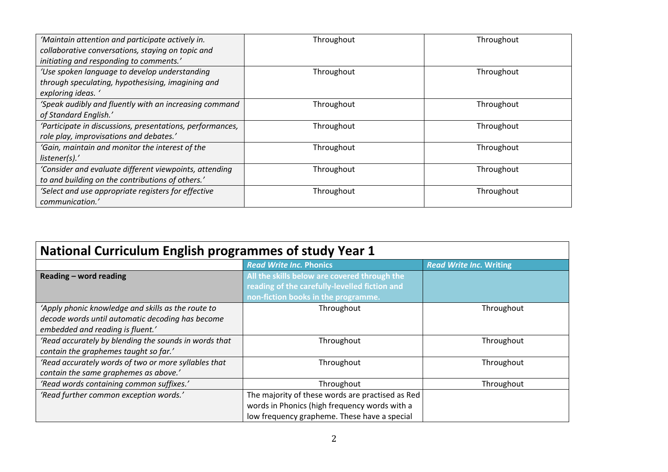| 'Maintain attention and participate actively in.          | Throughout | Throughout |
|-----------------------------------------------------------|------------|------------|
| collaborative conversations, staying on topic and         |            |            |
| initiating and responding to comments.'                   |            |            |
| 'Use spoken language to develop understanding             | Throughout | Throughout |
| through speculating, hypothesising, imagining and         |            |            |
| exploring ideas.                                          |            |            |
| 'Speak audibly and fluently with an increasing command    | Throughout | Throughout |
| of Standard English.'                                     |            |            |
| 'Participate in discussions, presentations, performances, | Throughout | Throughout |
| role play, improvisations and debates.'                   |            |            |
| 'Gain, maintain and monitor the interest of the           | Throughout | Throughout |
| listener(s).'                                             |            |            |
| 'Consider and evaluate different viewpoints, attending    | Throughout | Throughout |
| to and building on the contributions of others.'          |            |            |
| 'Select and use appropriate registers for effective       | Throughout | Throughout |
| communication.'                                           |            |            |

| <b>National Curriculum English programmes of study Year 1</b> |                                                                                                                                      |            |  |
|---------------------------------------------------------------|--------------------------------------------------------------------------------------------------------------------------------------|------------|--|
|                                                               | <b>Read Write Inc. Writing</b>                                                                                                       |            |  |
| Reading - word reading                                        | All the skills below are covered through the<br>reading of the carefully-levelled fiction and<br>non-fiction books in the programme. |            |  |
| 'Apply phonic knowledge and skills as the route to            | Throughout                                                                                                                           | Throughout |  |
| decode words until automatic decoding has become              |                                                                                                                                      |            |  |
| embedded and reading is fluent.'                              |                                                                                                                                      |            |  |
| 'Read accurately by blending the sounds in words that         | Throughout                                                                                                                           | Throughout |  |
| contain the graphemes taught so far.'                         |                                                                                                                                      |            |  |
| 'Read accurately words of two or more syllables that          | Throughout                                                                                                                           | Throughout |  |
| contain the same graphemes as above.'                         |                                                                                                                                      |            |  |
| 'Read words containing common suffixes.'                      | Throughout                                                                                                                           | Throughout |  |
| 'Read further common exception words.'                        | The majority of these words are practised as Red                                                                                     |            |  |
|                                                               | words in Phonics (high frequency words with a                                                                                        |            |  |
|                                                               | low frequency grapheme. These have a special                                                                                         |            |  |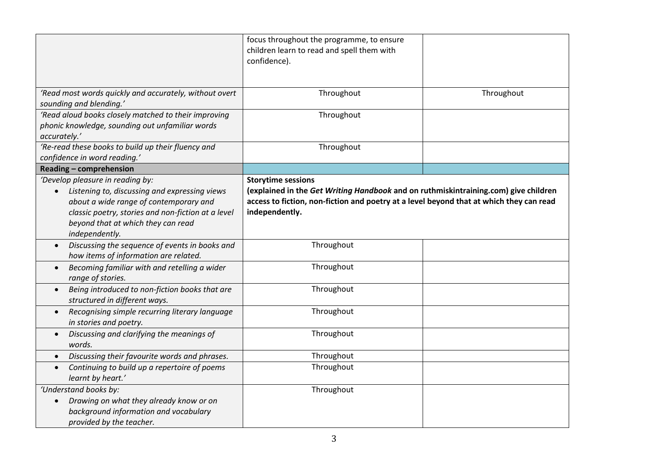|                                                                                              | focus throughout the programme, to ensure<br>children learn to read and spell them with                                                                                        |            |
|----------------------------------------------------------------------------------------------|--------------------------------------------------------------------------------------------------------------------------------------------------------------------------------|------------|
|                                                                                              | confidence).                                                                                                                                                                   |            |
| 'Read most words quickly and accurately, without overt                                       | Throughout                                                                                                                                                                     | Throughout |
| sounding and blending.'                                                                      |                                                                                                                                                                                |            |
| 'Read aloud books closely matched to their improving                                         | Throughout                                                                                                                                                                     |            |
| phonic knowledge, sounding out unfamiliar words                                              |                                                                                                                                                                                |            |
| accurately.'                                                                                 |                                                                                                                                                                                |            |
| 'Re-read these books to build up their fluency and                                           | Throughout                                                                                                                                                                     |            |
| confidence in word reading.'                                                                 |                                                                                                                                                                                |            |
| Reading - comprehension                                                                      |                                                                                                                                                                                |            |
| 'Develop pleasure in reading by:                                                             | <b>Storytime sessions</b>                                                                                                                                                      |            |
| Listening to, discussing and expressing views                                                | (explained in the Get Writing Handbook and on ruthmiskintraining.com) give children<br>access to fiction, non-fiction and poetry at a level beyond that at which they can read |            |
| about a wide range of contemporary and                                                       | independently.                                                                                                                                                                 |            |
| classic poetry, stories and non-fiction at a level                                           |                                                                                                                                                                                |            |
| beyond that at which they can read<br>independently.                                         |                                                                                                                                                                                |            |
| Discussing the sequence of events in books and<br>$\bullet$                                  | Throughout                                                                                                                                                                     |            |
| how items of information are related.                                                        |                                                                                                                                                                                |            |
| Becoming familiar with and retelling a wider<br>$\bullet$                                    | Throughout                                                                                                                                                                     |            |
| range of stories.                                                                            |                                                                                                                                                                                |            |
| Being introduced to non-fiction books that are<br>$\bullet$<br>structured in different ways. | Throughout                                                                                                                                                                     |            |
| Recognising simple recurring literary language<br>$\bullet$                                  | Throughout                                                                                                                                                                     |            |
| in stories and poetry.                                                                       |                                                                                                                                                                                |            |
| Discussing and clarifying the meanings of<br>$\bullet$                                       | Throughout                                                                                                                                                                     |            |
| words.                                                                                       |                                                                                                                                                                                |            |
| Discussing their favourite words and phrases.<br>$\bullet$                                   | Throughout                                                                                                                                                                     |            |
| Continuing to build up a repertoire of poems<br>$\bullet$<br>learnt by heart.'               | Throughout                                                                                                                                                                     |            |
| 'Understand books by:                                                                        | Throughout                                                                                                                                                                     |            |
| Drawing on what they already know or on<br>$\bullet$                                         |                                                                                                                                                                                |            |
| background information and vocabulary                                                        |                                                                                                                                                                                |            |
| provided by the teacher.                                                                     |                                                                                                                                                                                |            |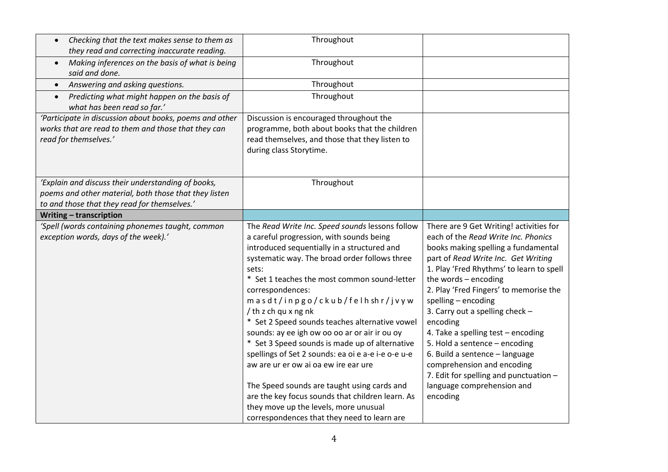| Checking that the text makes sense to them as<br>$\bullet$<br>they read and correcting inaccurate reading.                                                  | Throughout                                                                                                                                                                                                                                                                                                                                                                                                                                                                                                                                                                                                                                                                                                                                                                      |                                                                                                                                                                                                                                                                                                                                                                                                                                                                                                                                                                             |
|-------------------------------------------------------------------------------------------------------------------------------------------------------------|---------------------------------------------------------------------------------------------------------------------------------------------------------------------------------------------------------------------------------------------------------------------------------------------------------------------------------------------------------------------------------------------------------------------------------------------------------------------------------------------------------------------------------------------------------------------------------------------------------------------------------------------------------------------------------------------------------------------------------------------------------------------------------|-----------------------------------------------------------------------------------------------------------------------------------------------------------------------------------------------------------------------------------------------------------------------------------------------------------------------------------------------------------------------------------------------------------------------------------------------------------------------------------------------------------------------------------------------------------------------------|
| Making inferences on the basis of what is being<br>$\bullet$<br>said and done.                                                                              | Throughout                                                                                                                                                                                                                                                                                                                                                                                                                                                                                                                                                                                                                                                                                                                                                                      |                                                                                                                                                                                                                                                                                                                                                                                                                                                                                                                                                                             |
| Answering and asking questions.<br>$\bullet$                                                                                                                | Throughout                                                                                                                                                                                                                                                                                                                                                                                                                                                                                                                                                                                                                                                                                                                                                                      |                                                                                                                                                                                                                                                                                                                                                                                                                                                                                                                                                                             |
| Predicting what might happen on the basis of<br>$\bullet$<br>what has been read so far.'                                                                    | Throughout                                                                                                                                                                                                                                                                                                                                                                                                                                                                                                                                                                                                                                                                                                                                                                      |                                                                                                                                                                                                                                                                                                                                                                                                                                                                                                                                                                             |
| 'Participate in discussion about books, poems and other<br>works that are read to them and those that they can<br>read for themselves.'                     | Discussion is encouraged throughout the<br>programme, both about books that the children<br>read themselves, and those that they listen to<br>during class Storytime.                                                                                                                                                                                                                                                                                                                                                                                                                                                                                                                                                                                                           |                                                                                                                                                                                                                                                                                                                                                                                                                                                                                                                                                                             |
| 'Explain and discuss their understanding of books,<br>poems and other material, both those that they listen<br>to and those that they read for themselves.' | Throughout                                                                                                                                                                                                                                                                                                                                                                                                                                                                                                                                                                                                                                                                                                                                                                      |                                                                                                                                                                                                                                                                                                                                                                                                                                                                                                                                                                             |
| Writing - transcription                                                                                                                                     |                                                                                                                                                                                                                                                                                                                                                                                                                                                                                                                                                                                                                                                                                                                                                                                 |                                                                                                                                                                                                                                                                                                                                                                                                                                                                                                                                                                             |
| 'Spell (words containing phonemes taught, common<br>exception words, days of the week).'                                                                    | The Read Write Inc. Speed sounds lessons follow<br>a careful progression, with sounds being<br>introduced sequentially in a structured and<br>systematic way. The broad order follows three<br>sets:<br>* Set 1 teaches the most common sound-letter<br>correspondences:<br>masdt/inpgo/ckub/felhshr/jvyw<br>/ th z ch qu x ng nk<br>* Set 2 Speed sounds teaches alternative vowel<br>sounds: ay ee igh ow oo oo ar or air ir ou oy<br>* Set 3 Speed sounds is made up of alternative<br>spellings of Set 2 sounds: ea oi e a-e i-e o-e u-e<br>aw are ur er ow ai oa ew ire ear ure<br>The Speed sounds are taught using cards and<br>are the key focus sounds that children learn. As<br>they move up the levels, more unusual<br>correspondences that they need to learn are | There are 9 Get Writing! activities for<br>each of the Read Write Inc. Phonics<br>books making spelling a fundamental<br>part of Read Write Inc. Get Writing<br>1. Play 'Fred Rhythms' to learn to spell<br>the words - encoding<br>2. Play 'Fred Fingers' to memorise the<br>spelling - encoding<br>3. Carry out a spelling check -<br>encoding<br>4. Take a spelling test - encoding<br>5. Hold a sentence - encoding<br>6. Build a sentence - language<br>comprehension and encoding<br>7. Edit for spelling and punctuation -<br>language comprehension and<br>encoding |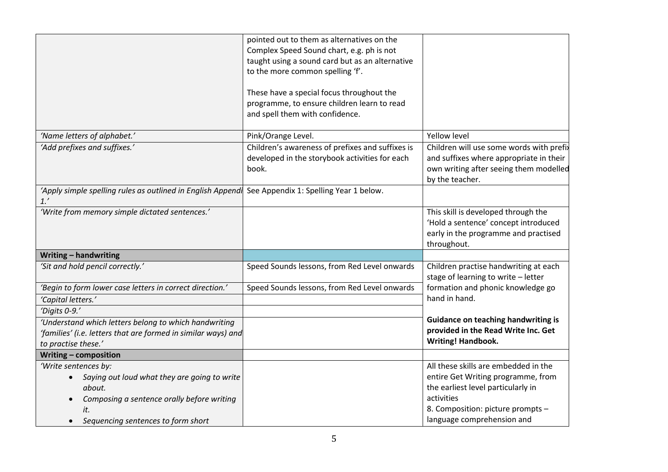|                                                                    | pointed out to them as alternatives on the       |                                                                              |
|--------------------------------------------------------------------|--------------------------------------------------|------------------------------------------------------------------------------|
|                                                                    | Complex Speed Sound chart, e.g. ph is not        |                                                                              |
|                                                                    | taught using a sound card but as an alternative  |                                                                              |
|                                                                    |                                                  |                                                                              |
|                                                                    | to the more common spelling 'f'.                 |                                                                              |
|                                                                    | These have a special focus throughout the        |                                                                              |
|                                                                    | programme, to ensure children learn to read      |                                                                              |
|                                                                    | and spell them with confidence.                  |                                                                              |
| 'Name letters of alphabet.'                                        | Pink/Orange Level.                               | <b>Yellow level</b>                                                          |
| 'Add prefixes and suffixes.'                                       | Children's awareness of prefixes and suffixes is | Children will use some words with prefix                                     |
|                                                                    | developed in the storybook activities for each   | and suffixes where appropriate in their                                      |
|                                                                    | book.                                            | own writing after seeing them modelled                                       |
|                                                                    |                                                  | by the teacher.                                                              |
| 'Apply simple spelling rules as outlined in English Appendi<br>1.' | See Appendix 1: Spelling Year 1 below.           |                                                                              |
| 'Write from memory simple dictated sentences.'                     |                                                  | This skill is developed through the                                          |
|                                                                    |                                                  | 'Hold a sentence' concept introduced                                         |
|                                                                    |                                                  | early in the programme and practised                                         |
|                                                                    |                                                  | throughout.                                                                  |
| Writing - handwriting                                              |                                                  |                                                                              |
| 'Sit and hold pencil correctly.'                                   | Speed Sounds lessons, from Red Level onwards     | Children practise handwriting at each<br>stage of learning to write - letter |
| 'Begin to form lower case letters in correct direction.'           | Speed Sounds lessons, from Red Level onwards     | formation and phonic knowledge go                                            |
| 'Capital letters.'                                                 |                                                  | hand in hand.                                                                |
| 'Digits 0-9.'                                                      |                                                  |                                                                              |
| 'Understand which letters belong to which handwriting              |                                                  | <b>Guidance on teaching handwriting is</b>                                   |
| 'families' (i.e. letters that are formed in similar ways) and      |                                                  | provided in the Read Write Inc. Get                                          |
| to practise these.'                                                |                                                  | <b>Writing! Handbook.</b>                                                    |
| Writing - composition                                              |                                                  |                                                                              |
| 'Write sentences by:                                               |                                                  | All these skills are embedded in the                                         |
| Saying out loud what they are going to write<br>$\bullet$          |                                                  | entire Get Writing programme, from                                           |
| about.                                                             |                                                  | the earliest level particularly in                                           |
| Composing a sentence orally before writing                         |                                                  | activities                                                                   |
| it.                                                                |                                                  | 8. Composition: picture prompts -                                            |
| Sequencing sentences to form short<br>$\bullet$                    |                                                  | language comprehension and                                                   |
|                                                                    |                                                  |                                                                              |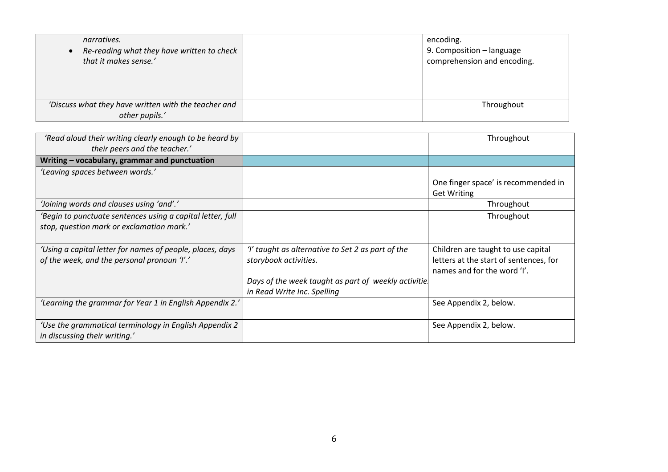| narratives.<br>Re-reading what they have written to check<br>that it makes sense.' | encoding.<br>9. Composition - language<br>comprehension and encoding. |
|------------------------------------------------------------------------------------|-----------------------------------------------------------------------|
| 'Discuss what they have written with the teacher and<br>other pupils.'             | Throughout                                                            |

| 'Read aloud their writing clearly enough to be heard by<br>their peers and the teacher.' |                                                      | Throughout                             |
|------------------------------------------------------------------------------------------|------------------------------------------------------|----------------------------------------|
| Writing - vocabulary, grammar and punctuation                                            |                                                      |                                        |
| 'Leaving spaces between words.'                                                          |                                                      |                                        |
|                                                                                          |                                                      | One finger space' is recommended in    |
|                                                                                          |                                                      | <b>Get Writing</b>                     |
| 'Joining words and clauses using 'and'.'                                                 |                                                      | Throughout                             |
| 'Begin to punctuate sentences using a capital letter, full                               |                                                      | Throughout                             |
| stop, question mark or exclamation mark.'                                                |                                                      |                                        |
|                                                                                          |                                                      |                                        |
| 'Using a capital letter for names of people, places, days                                | 'I' taught as alternative to Set 2 as part of the    | Children are taught to use capital     |
| of the week, and the personal pronoun 'I'.'                                              | storybook activities.                                | letters at the start of sentences, for |
|                                                                                          |                                                      | names and for the word 'I'.            |
|                                                                                          | Days of the week taught as part of weekly activitie. |                                        |
|                                                                                          | in Read Write Inc. Spelling                          |                                        |
| 'Learning the grammar for Year 1 in English Appendix 2.'                                 |                                                      | See Appendix 2, below.                 |
|                                                                                          |                                                      |                                        |
| 'Use the grammatical terminology in English Appendix 2                                   |                                                      | See Appendix 2, below.                 |
| in discussing their writing.'                                                            |                                                      |                                        |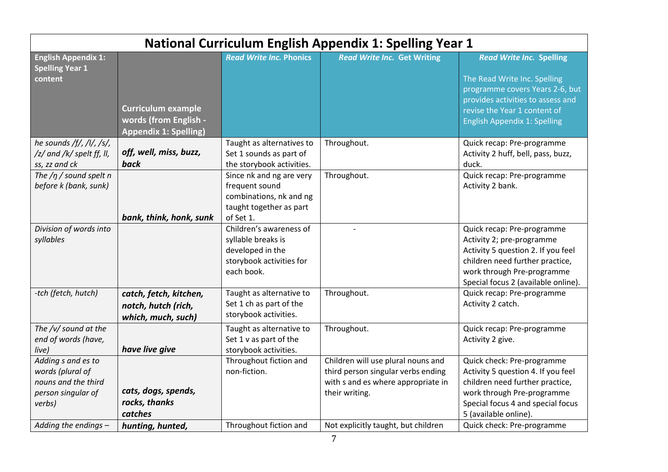| <b>National Curriculum English Appendix 1: Spelling Year 1</b>                                |                                                                                    |                                                                                                               |                                                                                                                                  |                                                                                                                                                                                                       |
|-----------------------------------------------------------------------------------------------|------------------------------------------------------------------------------------|---------------------------------------------------------------------------------------------------------------|----------------------------------------------------------------------------------------------------------------------------------|-------------------------------------------------------------------------------------------------------------------------------------------------------------------------------------------------------|
| <b>English Appendix 1:</b><br><b>Spelling Year 1</b><br>content                               |                                                                                    | <b>Read Write Inc. Phonics</b>                                                                                | <b>Read Write Inc. Get Writing</b>                                                                                               | <b>Read Write Inc. Spelling</b><br>The Read Write Inc. Spelling                                                                                                                                       |
|                                                                                               | <b>Curriculum example</b><br>words (from English -<br><b>Appendix 1: Spelling)</b> |                                                                                                               |                                                                                                                                  | programme covers Years 2-6, but<br>provides activities to assess and<br>revise the Year 1 content of<br><b>English Appendix 1: Spelling</b>                                                           |
| he sounds /f/, /l/, /s/,<br>/z/ and /k/ spelt ff, ll,<br>ss, zz and ck                        | off, well, miss, buzz,<br>back                                                     | Taught as alternatives to<br>Set 1 sounds as part of<br>the storybook activities.                             | Throughout.                                                                                                                      | Quick recap: Pre-programme<br>Activity 2 huff, bell, pass, buzz,<br>duck.                                                                                                                             |
| The $/p$ / sound spelt n<br>before k (bank, sunk)                                             | bank, think, honk, sunk                                                            | Since nk and ng are very<br>frequent sound<br>combinations, nk and ng<br>taught together as part<br>of Set 1. | Throughout.                                                                                                                      | Quick recap: Pre-programme<br>Activity 2 bank.                                                                                                                                                        |
| Division of words into<br>syllables                                                           |                                                                                    | Children's awareness of<br>syllable breaks is<br>developed in the<br>storybook activities for<br>each book.   |                                                                                                                                  | Quick recap: Pre-programme<br>Activity 2; pre-programme<br>Activity 5 question 2. If you feel<br>children need further practice,<br>work through Pre-programme<br>Special focus 2 (available online). |
| -tch (fetch, hutch)                                                                           | catch, fetch, kitchen,<br>notch, hutch (rich,<br>which, much, such)                | Taught as alternative to<br>Set 1 ch as part of the<br>storybook activities.                                  | Throughout.                                                                                                                      | Quick recap: Pre-programme<br>Activity 2 catch.                                                                                                                                                       |
| The /v/ sound at the<br>end of words (have,<br>live)                                          | have live give                                                                     | Taught as alternative to<br>Set 1 v as part of the<br>storybook activities.                                   | Throughout.                                                                                                                      | Quick recap: Pre-programme<br>Activity 2 give.                                                                                                                                                        |
| Adding s and es to<br>words (plural of<br>nouns and the third<br>person singular of<br>verbs) | cats, dogs, spends,<br>rocks, thanks<br>catches                                    | Throughout fiction and<br>non-fiction.                                                                        | Children will use plural nouns and<br>third person singular verbs ending<br>with s and es where appropriate in<br>their writing. | Quick check: Pre-programme<br>Activity 5 question 4. If you feel<br>children need further practice,<br>work through Pre-programme<br>Special focus 4 and special focus<br>5 (available online).       |
| Adding the endings -                                                                          | hunting, hunted,                                                                   | Throughout fiction and                                                                                        | Not explicitly taught, but children                                                                                              | Quick check: Pre-programme                                                                                                                                                                            |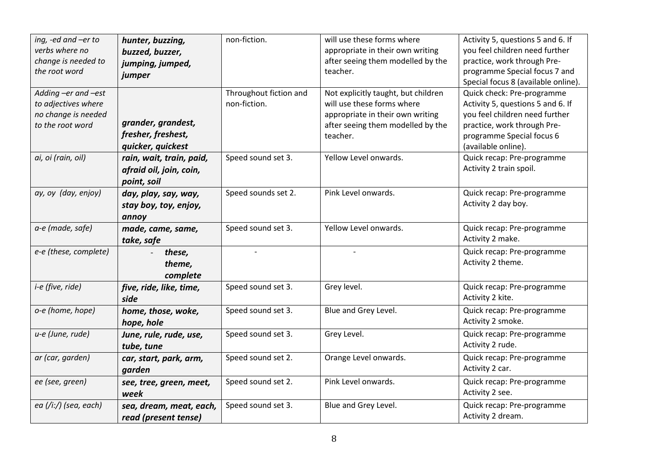| ing, -ed and -er to   | hunter, buzzing,         | non-fiction.           | will use these forms where          | Activity 5, questions 5 and 6. If   |
|-----------------------|--------------------------|------------------------|-------------------------------------|-------------------------------------|
| verbs where no        | buzzed, buzzer,          |                        | appropriate in their own writing    | you feel children need further      |
| change is needed to   | jumping, jumped,         |                        | after seeing them modelled by the   | practice, work through Pre-         |
| the root word         | jumper                   |                        | teacher.                            | programme Special focus 7 and       |
|                       |                          |                        |                                     | Special focus 8 (available online). |
| Adding -er and -est   |                          | Throughout fiction and | Not explicitly taught, but children | Quick check: Pre-programme          |
| to adjectives where   |                          | non-fiction.           | will use these forms where          | Activity 5, questions 5 and 6. If   |
| no change is needed   |                          |                        | appropriate in their own writing    | you feel children need further      |
| to the root word      | grander, grandest,       |                        | after seeing them modelled by the   | practice, work through Pre-         |
|                       | fresher, freshest,       |                        | teacher.                            | programme Special focus 6           |
|                       | quicker, quickest        |                        |                                     | (available online).                 |
| ai, oi (rain, oil)    | rain, wait, train, paid, | Speed sound set 3.     | Yellow Level onwards.               | Quick recap: Pre-programme          |
|                       | afraid oil, join, coin,  |                        |                                     | Activity 2 train spoil.             |
|                       | point, soil              |                        |                                     |                                     |
| ay, oy (day, enjoy)   | day, play, say, way,     | Speed sounds set 2.    | Pink Level onwards.                 | Quick recap: Pre-programme          |
|                       |                          |                        |                                     | Activity 2 day boy.                 |
|                       | stay boy, toy, enjoy,    |                        |                                     |                                     |
|                       | annoy                    |                        |                                     |                                     |
| a-e (made, safe)      | made, came, same,        | Speed sound set 3.     | Yellow Level onwards.               | Quick recap: Pre-programme          |
|                       | take, safe               |                        |                                     | Activity 2 make.                    |
| e-e (these, complete) | these,                   |                        |                                     | Quick recap: Pre-programme          |
|                       | theme,                   |                        |                                     | Activity 2 theme.                   |
|                       | complete                 |                        |                                     |                                     |
| i-e (five, ride)      | five, ride, like, time,  | Speed sound set 3.     | Grey level.                         | Quick recap: Pre-programme          |
|                       | side                     |                        |                                     | Activity 2 kite.                    |
| o-e (home, hope)      | home, those, woke,       | Speed sound set 3.     | Blue and Grey Level.                | Quick recap: Pre-programme          |
|                       | hope, hole               |                        |                                     | Activity 2 smoke.                   |
| u-e (June, rude)      | June, rule, rude, use,   | Speed sound set 3.     | Grey Level.                         | Quick recap: Pre-programme          |
|                       | tube, tune               |                        |                                     | Activity 2 rude.                    |
| ar (car, garden)      |                          | Speed sound set 2.     | Orange Level onwards.               | Quick recap: Pre-programme          |
|                       | car, start, park, arm,   |                        |                                     |                                     |
|                       | garden                   |                        |                                     | Activity 2 car.                     |
| ee (see, green)       | see, tree, green, meet,  | Speed sound set 2.     | Pink Level onwards.                 | Quick recap: Pre-programme          |
|                       | week                     |                        |                                     | Activity 2 see.                     |
| ea (/iː/) (sea, each) | sea, dream, meat, each,  | Speed sound set 3.     | Blue and Grey Level.                | Quick recap: Pre-programme          |
|                       | read (present tense)     |                        |                                     | Activity 2 dream.                   |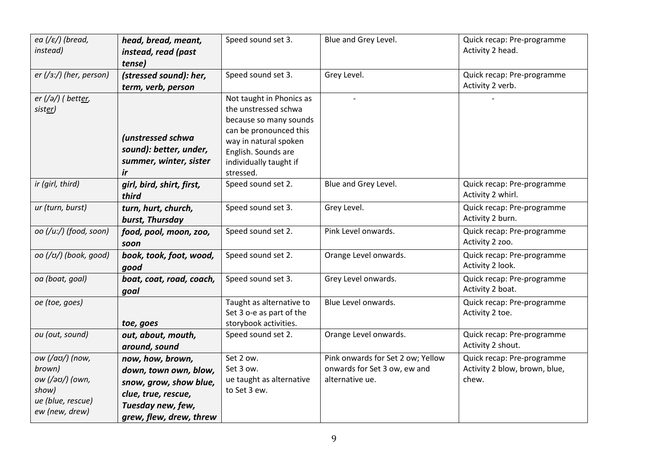| ea (/ $\varepsilon$ /) (bread,<br>instead)                                                   | head, bread, meant,<br>instead, read (past<br>tense)                                                                                       | Speed sound set 3.                                                                                                                                                                          | Blue and Grey Level.                                                                 | Quick recap: Pre-programme<br>Activity 2 head.                       |
|----------------------------------------------------------------------------------------------|--------------------------------------------------------------------------------------------------------------------------------------------|---------------------------------------------------------------------------------------------------------------------------------------------------------------------------------------------|--------------------------------------------------------------------------------------|----------------------------------------------------------------------|
| er $\left(\frac{1}{3}\right)$ (her, person)                                                  | (stressed sound): her,<br>term, verb, person                                                                                               | Speed sound set 3.                                                                                                                                                                          | Grey Level.                                                                          | Quick recap: Pre-programme<br>Activity 2 verb.                       |
| er (/ə/) ( better,<br>sister)                                                                | (unstressed schwa<br>sound): better, under,<br>summer, winter, sister<br>ir                                                                | Not taught in Phonics as<br>the unstressed schwa<br>because so many sounds<br>can be pronounced this<br>way in natural spoken<br>English. Sounds are<br>individually taught if<br>stressed. | $\overline{a}$                                                                       |                                                                      |
| ir (girl, third)                                                                             | girl, bird, shirt, first,<br>third                                                                                                         | Speed sound set 2.                                                                                                                                                                          | Blue and Grey Level.                                                                 | Quick recap: Pre-programme<br>Activity 2 whirl.                      |
| ur (turn, burst)                                                                             | turn, hurt, church,<br>burst, Thursday                                                                                                     | Speed sound set 3.                                                                                                                                                                          | Grey Level.                                                                          | Quick recap: Pre-programme<br>Activity 2 burn.                       |
| oo (/u:/) (food, soon)                                                                       | food, pool, moon, zoo,<br>soon                                                                                                             | Speed sound set 2.                                                                                                                                                                          | Pink Level onwards.                                                                  | Quick recap: Pre-programme<br>Activity 2 zoo.                        |
| οο (/ʊ/) (book, good)                                                                        | book, took, foot, wood,<br>qood                                                                                                            | Speed sound set 2.                                                                                                                                                                          | Orange Level onwards.                                                                | Quick recap: Pre-programme<br>Activity 2 look.                       |
| oa (boat, goal)                                                                              | boat, coat, road, coach,<br>goal                                                                                                           | Speed sound set 3.                                                                                                                                                                          | Grey Level onwards.                                                                  | Quick recap: Pre-programme<br>Activity 2 boat.                       |
| oe (toe, goes)                                                                               | toe, goes                                                                                                                                  | Taught as alternative to<br>Set 3 o-e as part of the<br>storybook activities.                                                                                                               | Blue Level onwards.                                                                  | Quick recap: Pre-programme<br>Activity 2 toe.                        |
| ou (out, sound)                                                                              | out, about, mouth,<br>around, sound                                                                                                        | Speed sound set 2.                                                                                                                                                                          | Orange Level onwards.                                                                | Quick recap: Pre-programme<br>Activity 2 shout.                      |
| ow (/aʊ/) (now,<br>brown)<br>ow (/əʊ/) (own,<br>show)<br>ue (blue, rescue)<br>ew (new, drew) | now, how, brown,<br>down, town own, blow,<br>snow, grow, show blue,<br>clue, true, rescue,<br>Tuesday new, few,<br>grew, flew, drew, threw | Set 2 ow.<br>Set 3 ow.<br>ue taught as alternative<br>to Set 3 ew.                                                                                                                          | Pink onwards for Set 2 ow; Yellow<br>onwards for Set 3 ow, ew and<br>alternative ue. | Quick recap: Pre-programme<br>Activity 2 blow, brown, blue,<br>chew. |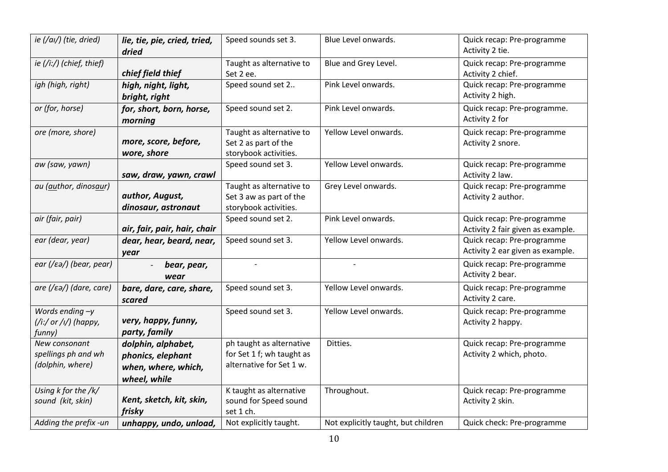| ie (/ai/) (tie, dried)                                             | lie, tie, pie, cried, tried,<br>dried                                          | Speed sounds set 3.                                                               | Blue Level onwards.                 | Quick recap: Pre-programme<br>Activity 2 tie.                   |
|--------------------------------------------------------------------|--------------------------------------------------------------------------------|-----------------------------------------------------------------------------------|-------------------------------------|-----------------------------------------------------------------|
| ie (/i:/) (chief, thief)                                           | chief field thief                                                              | Taught as alternative to<br>Set 2 ee.                                             | Blue and Grey Level.                | Quick recap: Pre-programme<br>Activity 2 chief.                 |
| igh (high, right)                                                  | high, night, light,<br>bright, right                                           | Speed sound set 2                                                                 | Pink Level onwards.                 | Quick recap: Pre-programme<br>Activity 2 high.                  |
| or (for, horse)                                                    | for, short, born, horse,<br>morning                                            | Speed sound set 2.                                                                | Pink Level onwards.                 | Quick recap: Pre-programme.<br>Activity 2 for                   |
| ore (more, shore)                                                  | more, score, before,<br>wore, shore                                            | Taught as alternative to<br>Set 2 as part of the<br>storybook activities.         | Yellow Level onwards.               | Quick recap: Pre-programme<br>Activity 2 snore.                 |
| aw (saw, yawn)                                                     | saw, draw, yawn, crawl                                                         | Speed sound set 3.                                                                | Yellow Level onwards.               | Quick recap: Pre-programme<br>Activity 2 law.                   |
| au (author, dinosaur)                                              | author, August,<br>dinosaur, astronaut                                         | Taught as alternative to<br>Set 3 aw as part of the<br>storybook activities.      | Grey Level onwards.                 | Quick recap: Pre-programme<br>Activity 2 author.                |
| air (fair, pair)                                                   | air, fair, pair, hair, chair                                                   | Speed sound set 2.                                                                | Pink Level onwards.                 | Quick recap: Pre-programme<br>Activity 2 fair given as example. |
| ear (dear, year)                                                   | dear, hear, beard, near,<br>year                                               | Speed sound set 3.                                                                | Yellow Level onwards.               | Quick recap: Pre-programme<br>Activity 2 ear given as example.  |
| ear (/ $\varepsilon$ ə/) (bear, pear)                              | bear, pear,<br>wear                                                            |                                                                                   |                                     | Quick recap: Pre-programme<br>Activity 2 bear.                  |
| $are$ (/ $\varepsilon$ a/) (dare, care)                            | bare, dare, care, share,<br>scared                                             | Speed sound set 3.                                                                | Yellow Level onwards.               | Quick recap: Pre-programme<br>Activity 2 care.                  |
| Words ending $-y$<br>$\frac{1}{i}$ (/i:/ or /i/) (happy,<br>funny) | very, happy, funny,<br>party, family                                           | Speed sound set 3.                                                                | Yellow Level onwards.               | Quick recap: Pre-programme<br>Activity 2 happy.                 |
| New consonant<br>spellings ph and wh<br>(dolphin, where)           | dolphin, alphabet,<br>phonics, elephant<br>when, where, which,<br>wheel, while | ph taught as alternative<br>for Set 1 f; wh taught as<br>alternative for Set 1 w. | Ditties.                            | Quick recap: Pre-programme<br>Activity 2 which, photo.          |
| Using $k$ for the $/k/$<br>sound (kit, skin)                       | Kent, sketch, kit, skin,<br>frisky                                             | K taught as alternative<br>sound for Speed sound<br>set 1 ch.                     | Throughout.                         | Quick recap: Pre-programme<br>Activity 2 skin.                  |
| Adding the prefix -un                                              | unhappy, undo, unload,                                                         | Not explicitly taught.                                                            | Not explicitly taught, but children | Quick check: Pre-programme                                      |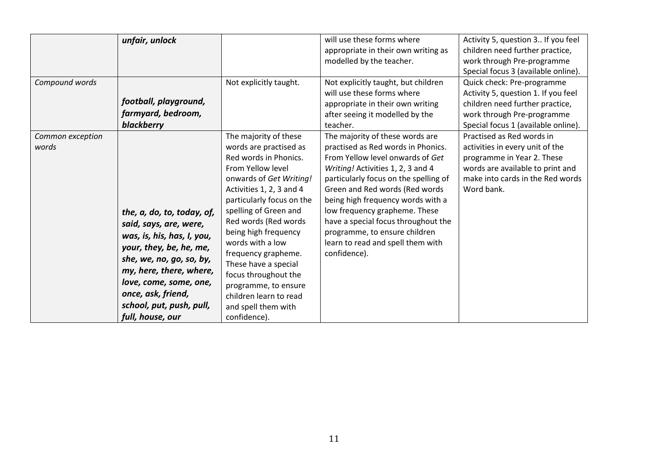| Compound words            | unfair, unlock<br>football, playground,<br>farmyard, bedroom,<br>blackberry                                                                                                                                                                                          | Not explicitly taught.                                                                                                                                                                                                                                                                                                                                                                                                                         | will use these forms where<br>appropriate in their own writing as<br>modelled by the teacher.<br>Not explicitly taught, but children<br>will use these forms where<br>appropriate in their own writing<br>after seeing it modelled by the<br>teacher.                                                                                                                                                                        | Activity 5, question 3 If you feel<br>children need further practice,<br>work through Pre-programme<br>Special focus 3 (available online).<br>Quick check: Pre-programme<br>Activity 5, question 1. If you feel<br>children need further practice,<br>work through Pre-programme<br>Special focus 1 (available online). |
|---------------------------|----------------------------------------------------------------------------------------------------------------------------------------------------------------------------------------------------------------------------------------------------------------------|------------------------------------------------------------------------------------------------------------------------------------------------------------------------------------------------------------------------------------------------------------------------------------------------------------------------------------------------------------------------------------------------------------------------------------------------|------------------------------------------------------------------------------------------------------------------------------------------------------------------------------------------------------------------------------------------------------------------------------------------------------------------------------------------------------------------------------------------------------------------------------|-------------------------------------------------------------------------------------------------------------------------------------------------------------------------------------------------------------------------------------------------------------------------------------------------------------------------|
| Common exception<br>words | the, a, do, to, today, of,<br>said, says, are, were,<br>was, is, his, has, I, you,<br>your, they, be, he, me,<br>she, we, no, go, so, by,<br>my, here, there, where,<br>love, come, some, one,<br>once, ask, friend,<br>school, put, push, pull,<br>full, house, our | The majority of these<br>words are practised as<br>Red words in Phonics.<br>From Yellow level<br>onwards of Get Writing!<br>Activities 1, 2, 3 and 4<br>particularly focus on the<br>spelling of Green and<br>Red words (Red words<br>being high frequency<br>words with a low<br>frequency grapheme.<br>These have a special<br>focus throughout the<br>programme, to ensure<br>children learn to read<br>and spell them with<br>confidence). | The majority of these words are<br>practised as Red words in Phonics.<br>From Yellow level onwards of Get<br>Writing! Activities 1, 2, 3 and 4<br>particularly focus on the spelling of<br>Green and Red words (Red words<br>being high frequency words with a<br>low frequency grapheme. These<br>have a special focus throughout the<br>programme, to ensure children<br>learn to read and spell them with<br>confidence). | Practised as Red words in<br>activities in every unit of the<br>programme in Year 2. These<br>words are available to print and<br>make into cards in the Red words<br>Word bank.                                                                                                                                        |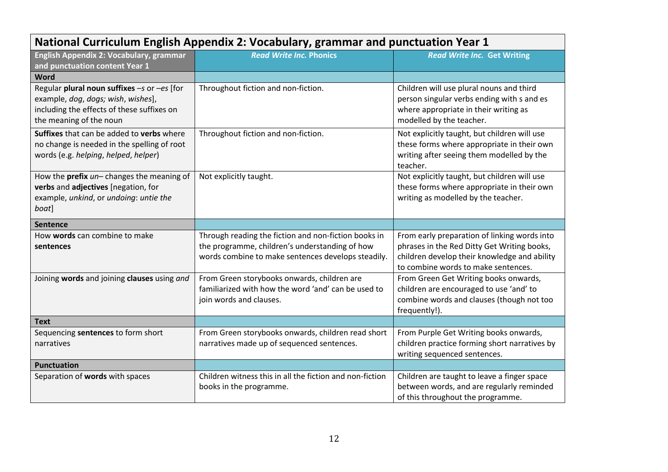| National Curriculum English Appendix 2: Vocabulary, grammar and punctuation Year 1 |                                                                                |                                                                                      |  |  |  |
|------------------------------------------------------------------------------------|--------------------------------------------------------------------------------|--------------------------------------------------------------------------------------|--|--|--|
| English Appendix 2: Vocabulary, grammar                                            | <b>Read Write Inc. Phonics</b>                                                 | <b>Read Write Inc. Get Writing</b>                                                   |  |  |  |
| and punctuation content Year 1                                                     |                                                                                |                                                                                      |  |  |  |
| Word                                                                               |                                                                                |                                                                                      |  |  |  |
| Regular plural noun suffixes -s or -es [for                                        | Throughout fiction and non-fiction.                                            | Children will use plural nouns and third                                             |  |  |  |
| example, dog, dogs; wish, wishes],                                                 |                                                                                | person singular verbs ending with s and es                                           |  |  |  |
| including the effects of these suffixes on                                         |                                                                                | where appropriate in their writing as                                                |  |  |  |
| the meaning of the noun                                                            |                                                                                | modelled by the teacher.                                                             |  |  |  |
| Suffixes that can be added to verbs where                                          | Throughout fiction and non-fiction.                                            | Not explicitly taught, but children will use                                         |  |  |  |
| no change is needed in the spelling of root                                        |                                                                                | these forms where appropriate in their own                                           |  |  |  |
| words (e.g. helping, helped, helper)                                               |                                                                                | writing after seeing them modelled by the                                            |  |  |  |
|                                                                                    |                                                                                | teacher.                                                                             |  |  |  |
| How the prefix un-changes the meaning of                                           | Not explicitly taught.                                                         | Not explicitly taught, but children will use                                         |  |  |  |
| verbs and adjectives [negation, for                                                |                                                                                | these forms where appropriate in their own                                           |  |  |  |
| example, unkind, or undoing: untie the                                             |                                                                                | writing as modelled by the teacher.                                                  |  |  |  |
| boat]                                                                              |                                                                                |                                                                                      |  |  |  |
| Sentence                                                                           |                                                                                |                                                                                      |  |  |  |
| How words can combine to make                                                      | Through reading the fiction and non-fiction books in                           | From early preparation of linking words into                                         |  |  |  |
| sentences                                                                          | the programme, children's understanding of how                                 | phrases in the Red Ditty Get Writing books,                                          |  |  |  |
|                                                                                    | words combine to make sentences develops steadily.                             | children develop their knowledge and ability                                         |  |  |  |
|                                                                                    |                                                                                | to combine words to make sentences.                                                  |  |  |  |
| Joining words and joining clauses using and                                        | From Green storybooks onwards, children are                                    | From Green Get Writing books onwards,                                                |  |  |  |
|                                                                                    | familiarized with how the word 'and' can be used to<br>join words and clauses. | children are encouraged to use 'and' to<br>combine words and clauses (though not too |  |  |  |
|                                                                                    |                                                                                | frequently!).                                                                        |  |  |  |
| <b>Text</b>                                                                        |                                                                                |                                                                                      |  |  |  |
| Sequencing sentences to form short                                                 | From Green storybooks onwards, children read short                             | From Purple Get Writing books onwards,                                               |  |  |  |
| narratives                                                                         | narratives made up of sequenced sentences.                                     | children practice forming short narratives by                                        |  |  |  |
|                                                                                    |                                                                                | writing sequenced sentences.                                                         |  |  |  |
| <b>Punctuation</b>                                                                 |                                                                                |                                                                                      |  |  |  |
| Separation of words with spaces                                                    | Children witness this in all the fiction and non-fiction                       | Children are taught to leave a finger space                                          |  |  |  |
|                                                                                    | books in the programme.                                                        | between words, and are regularly reminded                                            |  |  |  |
|                                                                                    |                                                                                | of this throughout the programme.                                                    |  |  |  |